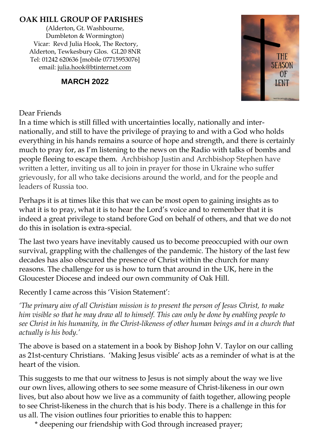## **OAK HILL GROUP OF PARISHES**

(Alderton, Gt. Washbourne, Dumbleton & Wormington) Vicar: Revd Julia Hook, The Rectory, Alderton, Tewkesbury Glos. GL20 8NR Tel: 01242 620636 [mobile 07715953076] email: [julia.hook@btinternet.com](mailto:julia.hook@btinternet.com)

## **MARCH 2022**



### Dear Friends

In a time which is still filled with uncertainties locally, nationally and internationally, and still to have the privilege of praying to and with a God who holds everything in his hands remains a source of hope and strength, and there is certainly much to pray for, as I'm listening to the news on the Radio with talks of bombs and people fleeing to escape them. Archbishop Justin and Archbishop Stephen have written a letter, inviting us all to join in prayer for those in Ukraine who suffer grievously, for all who take decisions around the world, and for the people and leaders of Russia too.

Perhaps it is at times like this that we can be most open to gaining insights as to what it is to pray, what it is to hear the Lord's voice and to remember that it is indeed a great privilege to stand before God on behalf of others, and that we do not do this in isolation is extra-special.

The last two years have inevitably caused us to become preoccupied with our own survival, grappling with the challenges of the pandemic. The history of the last few decades has also obscured the presence of Christ within the church for many reasons. The challenge for us is how to turn that around in the UK, here in the Gloucester Diocese and indeed our own community of Oak Hill.

Recently I came across this 'Vision Statement':

*'The primary aim of all Christian mission is to present the person of Jesus Christ, to make him visible so that he may draw all to himself. This can only be done by enabling people to see Christ in his humanity, in the Christ-likeness of other human beings and in a church that actually is his body.'*

The above is based on a statement in a book by Bishop John V. Taylor on our calling as 21st-century Christians. 'Making Jesus visible' acts as a reminder of what is at the heart of the vision.

This suggests to me that our witness to Jesus is not simply about the way we live our own lives, allowing others to see some measure of Christ-likeness in our own lives, but also about how we live as a community of faith together, allowing people to see Christ-likeness in the church that is his body. There is a challenge in this for us all. The vision outlines four priorities to enable this to happen:

\* deepening our friendship with God through increased prayer;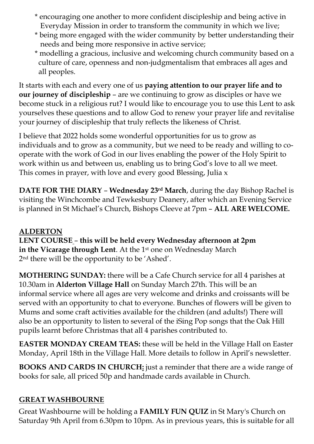- \* encouraging one another to more confident discipleship and being active in Everyday Mission in order to transform the community in which we live;
- \* being more engaged with the wider community by better understanding their needs and being more responsive in active service;
- \* modelling a gracious, inclusive and welcoming church community based on a culture of care, openness and non-judgmentalism that embraces all ages and all peoples.

It starts with each and every one of us **paying attention to our prayer life and to our journey of discipleship** – are we continuing to grow as disciples or have we become stuck in a religious rut? I would like to encourage you to use this Lent to ask yourselves these questions and to allow God to renew your prayer life and revitalise your journey of discipleship that truly reflects the likeness of Christ.

I believe that 2022 holds some wonderful opportunities for us to grow as individuals and to grow as a community, but we need to be ready and willing to cooperate with the work of God in our lives enabling the power of the Holy Spirit to work within us and between us, enabling us to bring God's love to all we meet. This comes in prayer, with love and every good Blessing, Julia x

**DATE FOR THE DIARY** – **Wednesday 23rd March**, during the day Bishop Rachel is visiting the Winchcombe and Tewkesbury Deanery, after which an Evening Service is planned in St Michael's Church, Bishops Cleeve at 7pm – **ALL ARE WELCOME.**

## **ALDERTON**

**LENT COURSE** – **this will be held every Wednesday afternoon at 2pm** in the Vicarage through Lent. At the 1st one on Wednesday March 2nd there will be the opportunity to be 'Ashed'.

**MOTHERING SUNDAY:** there will be a Cafe Church service for all 4 parishes at 10.30am in **Alderton Village Hall** on Sunday March 27th. This will be an informal service where all ages are very welcome and drinks and croissants will be served with an opportunity to chat to everyone. Bunches of flowers will be given to Mums and some craft activities available for the children (and adults!) There will also be an opportunity to listen to several of the iSing Pop songs that the Oak Hill pupils learnt before Christmas that all 4 parishes contributed to.

**EASTER MONDAY CREAM TEAS:** these will be held in the Village Hall on Easter Monday, April 18th in the Village Hall. More details to follow in April's newsletter.

**BOOKS AND CARDS IN CHURCH:** just a reminder that there are a wide range of books for sale, all priced 50p and handmade cards available in Church.

### **GREAT WASHBOURNE**

Great Washbourne will be holding a **FAMILY FUN QUIZ** in St Mary's Church on Saturday 9th April from 6.30pm to 10pm. As in previous years, this is suitable for all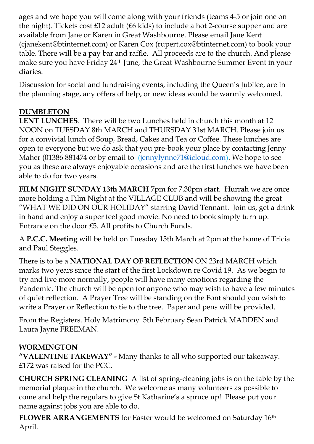ages and we hope you will come along with your friends (teams 4-5 or join one on the night). Tickets cost £12 adult (£6 kids) to include a hot 2-course supper and are available from Jane or Karen in Great Washbourne. Please email Jane Kent [\(cjanekent@btinternet.com\)](mailto:cjanekent@btinternet.com) or Karen Cox [\(rupert.cox@btinternet.com\)](mailto:rupert.cox@btinternet.com) to book your table. There will be a pay bar and raffle. All proceeds are to the church. And please make sure you have Friday 24th June, the Great Washbourne Summer Event in your diaries.

Discussion for social and fundraising events, including the Queen's Jubilee, are in the planning stage, any offers of help, or new ideas would be warmly welcomed.

# **DUMBLETON**

**LENT LUNCHES**. There will be two Lunches held in church this month at 12 NOON on TUESDAY 8th MARCH and THURSDAY 31st MARCH. Please join us for a convivial lunch of Soup, Bread, Cakes and Tea or Coffee. These lunches are open to everyone but we do ask that you pre-book your place by contacting Jenny Maher (01386 881474 or by email to [\(jennylynne71@icloud.com\)](mailto:jennylynne71@icloud.com). We hope to see you as these are always enjoyable occasions and are the first lunches we have been able to do for two years.

**FILM NIGHT SUNDAY 13th MARCH** 7pm for 7.30pm start. Hurrah we are once more holding a Film Night at the VILLAGE CLUB and will be showing the great "WHAT WE DID ON OUR HOLIDAY" starring David Tennant. Join us, get a drink in hand and enjoy a super feel good movie. No need to book simply turn up. Entrance on the door £5. All profits to Church Funds.

A **P.C.C. Meeting** will be held on Tuesday 15th March at 2pm at the home of Tricia and Paul Steggles.

There is to be a **NATIONAL DAY OF REFLECTION** ON 23rd MARCH which marks two years since the start of the first Lockdown re Covid 19. As we begin to try and live more normally, people will have many emotions regarding the Pandemic. The church will be open for anyone who may wish to have a few minutes of quiet reflection. A Prayer Tree will be standing on the Font should you wish to write a Prayer or Reflection to tie to the tree. Paper and pens will be provided.

From the Registers. Holy Matrimony 5th February Sean Patrick MADDEN and Laura Jayne FREEMAN.

# **WORMINGTON**

**"VALENTINE TAKEWAY" -** Many thanks to all who supported our takeaway. £172 was raised for the PCC.

**CHURCH SPRING CLEANING** A list of spring-cleaning jobs is on the table by the memorial plaque in the church. We welcome as many volunteers as possible to come and help the regulars to give St Katharine's a spruce up! Please put your name against jobs you are able to do.

**FLOWER ARRANGEMENTS** for Easter would be welcomed on Saturday 16th April.